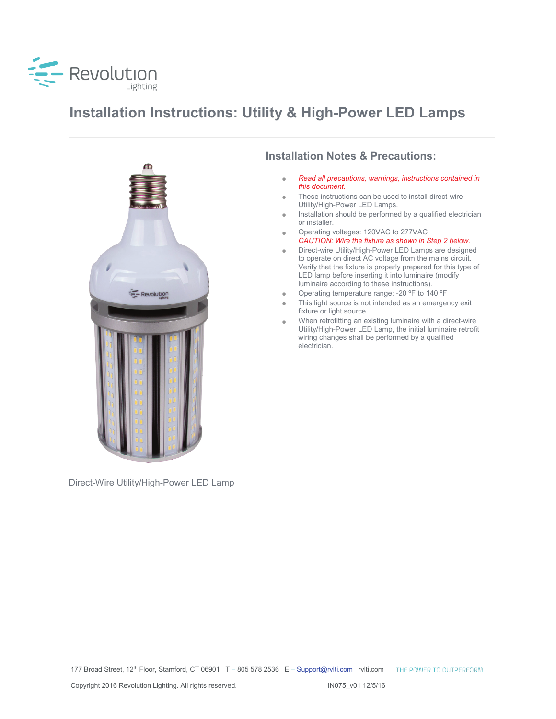

# **Installation Instructions: Utility & High-Power LED Lamps**



Direct-Wire Utility/High-Power LED Lamp

#### **Installation Notes & Precautions:**

- *Read all precautions, warnings, instructions contained in this document.*
- These instructions can be used to install direct-wire Utility/High-Power LED Lamps.
- Installation should be performed by a qualified electrician or installer.
- Operating voltages: 120VAC to 277VAC *CAUTION: Wire the fixture as shown in Step 2 below.*
- Direct-wire Utility/High-Power LED Lamps are designed to operate on direct AC voltage from the mains circuit. Verify that the fixture is properly prepared for this type of LED lamp before inserting it into luminaire (modify luminaire according to these instructions).
- Operating temperature range: -20 ºF to 140 ºF
- This light source is not intended as an emergency exit fixture or light source.
- When retrofitting an existing luminaire with a direct-wire Utility/High-Power LED Lamp, the initial luminaire retrofit wiring changes shall be performed by a qualified electrician.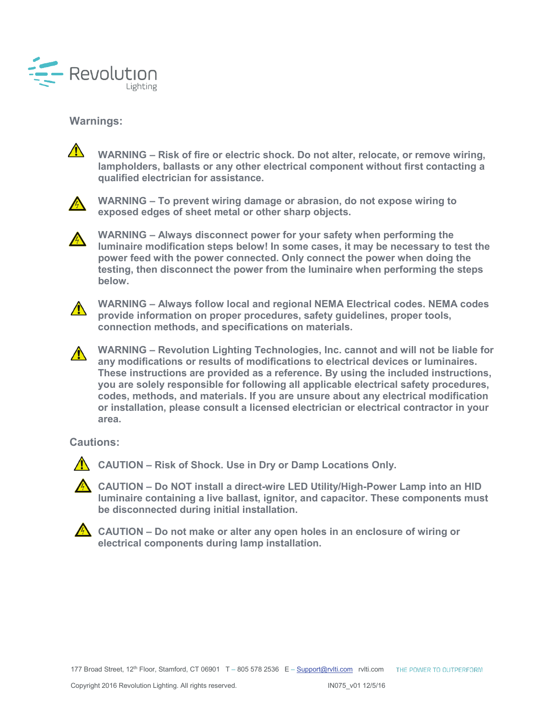

#### **Warnings:**



**WARNING – Risk of fire or electric shock. Do not alter, relocate, or remove wiring, lampholders, ballasts or any other electrical component without first contacting a qualified electrician for assistance.**



**WARNING – To prevent wiring damage or abrasion, do not expose wiring to exposed edges of sheet metal or other sharp objects.**

**WARNING – Always disconnect power for your safety when performing the luminaire modification steps below! In some cases, it may be necessary to test the power feed with the power connected. Only connect the power when doing the testing, then disconnect the power from the luminaire when performing the steps below.**



**WARNING – Always follow local and regional NEMA Electrical codes. NEMA codes provide information on proper procedures, safety guidelines, proper tools, connection methods, and specifications on materials.**

**WARNING – Revolution Lighting Technologies, Inc. cannot and will not be liable for any modifications or results of modifications to electrical devices or luminaires. These instructions are provided as a reference. By using the included instructions, you are solely responsible for following all applicable electrical safety procedures, codes, methods, and materials. If you are unsure about any electrical modification or installation, please consult a licensed electrician or electrical contractor in your area.**

**Cautions:**



**CAUTION – Risk of Shock. Use in Dry or Damp Locations Only.**

**CAUTION – Do NOT install a direct-wire LED Utility/High-Power Lamp into an HID luminaire containing a live ballast, ignitor, and capacitor. These components must be disconnected during initial installation.**



**A** CAUTION – Do not make or alter any open holes in an enclosure of wiring or **electrical components during lamp installation.**